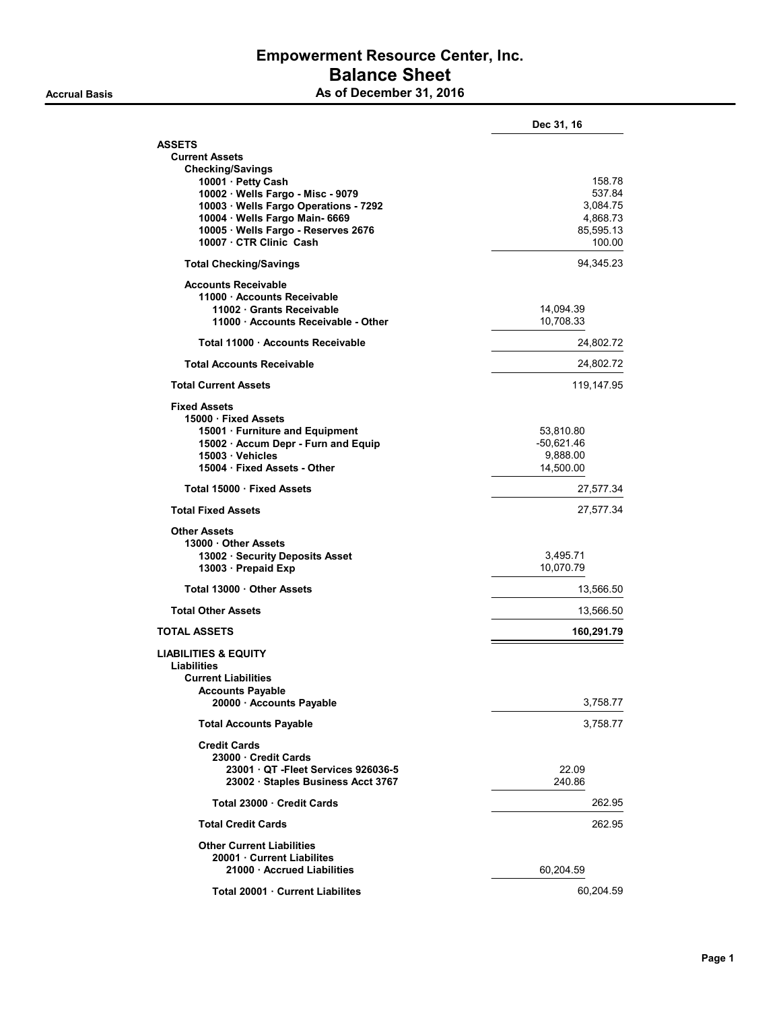# Empowerment Resource Center, Inc. Balance Sheet Accrual Basis **As of December 31, 2016**

| <b>ASSETS</b><br><b>Current Assets</b><br><b>Checking/Savings</b><br>10001 · Petty Cash<br>158.78<br>10002 · Wells Fargo - Misc - 9079<br>537.84<br>10003 · Wells Fargo Operations - 7292<br>3.084.75<br>10004 · Wells Fargo Main- 6669<br>4,868.73<br>10005 · Wells Fargo - Reserves 2676<br>85,595.13<br>10007 · CTR Clinic Cash<br>100.00<br><b>Total Checking/Savings</b><br>94,345.23<br><b>Accounts Receivable</b><br>11000 Accounts Receivable<br>11002 Grants Receivable<br>14,094.39<br>10,708.33<br>11000 Accounts Receivable - Other<br>Total 11000 · Accounts Receivable<br>24,802.72<br><b>Total Accounts Receivable</b><br>24,802.72<br><b>Total Current Assets</b><br>119,147.95<br><b>Fixed Assets</b><br>15000 · Fixed Assets<br>15001 · Furniture and Equipment<br>53,810.80<br>$-50,621.46$<br>15002 · Accum Depr - Furn and Equip<br>9,888.00<br>15003 · Vehicles<br>15004 Fixed Assets - Other<br>14,500.00<br>Total 15000 · Fixed Assets<br>27,577.34<br><b>Total Fixed Assets</b><br>27,577.34<br><b>Other Assets</b><br>13000 Other Assets<br>13002 · Security Deposits Asset<br>3,495.71<br>13003 · Prepaid Exp<br>10,070.79<br>Total 13000 Other Assets<br>13,566.50<br>13,566.50<br><b>Total Other Assets</b><br><b>TOTAL ASSETS</b><br>160,291.79<br><b>LIABILITIES &amp; EQUITY</b><br><b>Liabilities</b><br><b>Current Liabilities</b><br><b>Accounts Payable</b><br>20000 · Accounts Payable<br>3,758.77<br><b>Total Accounts Payable</b><br>3,758.77<br><b>Credit Cards</b><br>23000 Credit Cards<br>23001 QT - Fleet Services 926036-5<br>22.09<br>23002 · Staples Business Acct 3767<br>240.86<br>Total 23000 Credit Cards<br>262.95<br>262.95<br><b>Total Credit Cards</b><br><b>Other Current Liabilities</b><br>20001 Current Liabilites<br>21000 Accrued Liabilities<br>60,204.59 | Dec 31, 16 |
|-------------------------------------------------------------------------------------------------------------------------------------------------------------------------------------------------------------------------------------------------------------------------------------------------------------------------------------------------------------------------------------------------------------------------------------------------------------------------------------------------------------------------------------------------------------------------------------------------------------------------------------------------------------------------------------------------------------------------------------------------------------------------------------------------------------------------------------------------------------------------------------------------------------------------------------------------------------------------------------------------------------------------------------------------------------------------------------------------------------------------------------------------------------------------------------------------------------------------------------------------------------------------------------------------------------------------------------------------------------------------------------------------------------------------------------------------------------------------------------------------------------------------------------------------------------------------------------------------------------------------------------------------------------------------------------------------------------------------------------------------------------------------------------------------------------------------|------------|
|                                                                                                                                                                                                                                                                                                                                                                                                                                                                                                                                                                                                                                                                                                                                                                                                                                                                                                                                                                                                                                                                                                                                                                                                                                                                                                                                                                                                                                                                                                                                                                                                                                                                                                                                                                                                                         |            |
|                                                                                                                                                                                                                                                                                                                                                                                                                                                                                                                                                                                                                                                                                                                                                                                                                                                                                                                                                                                                                                                                                                                                                                                                                                                                                                                                                                                                                                                                                                                                                                                                                                                                                                                                                                                                                         |            |
|                                                                                                                                                                                                                                                                                                                                                                                                                                                                                                                                                                                                                                                                                                                                                                                                                                                                                                                                                                                                                                                                                                                                                                                                                                                                                                                                                                                                                                                                                                                                                                                                                                                                                                                                                                                                                         |            |
|                                                                                                                                                                                                                                                                                                                                                                                                                                                                                                                                                                                                                                                                                                                                                                                                                                                                                                                                                                                                                                                                                                                                                                                                                                                                                                                                                                                                                                                                                                                                                                                                                                                                                                                                                                                                                         |            |
|                                                                                                                                                                                                                                                                                                                                                                                                                                                                                                                                                                                                                                                                                                                                                                                                                                                                                                                                                                                                                                                                                                                                                                                                                                                                                                                                                                                                                                                                                                                                                                                                                                                                                                                                                                                                                         |            |
|                                                                                                                                                                                                                                                                                                                                                                                                                                                                                                                                                                                                                                                                                                                                                                                                                                                                                                                                                                                                                                                                                                                                                                                                                                                                                                                                                                                                                                                                                                                                                                                                                                                                                                                                                                                                                         |            |
|                                                                                                                                                                                                                                                                                                                                                                                                                                                                                                                                                                                                                                                                                                                                                                                                                                                                                                                                                                                                                                                                                                                                                                                                                                                                                                                                                                                                                                                                                                                                                                                                                                                                                                                                                                                                                         |            |
|                                                                                                                                                                                                                                                                                                                                                                                                                                                                                                                                                                                                                                                                                                                                                                                                                                                                                                                                                                                                                                                                                                                                                                                                                                                                                                                                                                                                                                                                                                                                                                                                                                                                                                                                                                                                                         |            |
|                                                                                                                                                                                                                                                                                                                                                                                                                                                                                                                                                                                                                                                                                                                                                                                                                                                                                                                                                                                                                                                                                                                                                                                                                                                                                                                                                                                                                                                                                                                                                                                                                                                                                                                                                                                                                         |            |
|                                                                                                                                                                                                                                                                                                                                                                                                                                                                                                                                                                                                                                                                                                                                                                                                                                                                                                                                                                                                                                                                                                                                                                                                                                                                                                                                                                                                                                                                                                                                                                                                                                                                                                                                                                                                                         |            |
|                                                                                                                                                                                                                                                                                                                                                                                                                                                                                                                                                                                                                                                                                                                                                                                                                                                                                                                                                                                                                                                                                                                                                                                                                                                                                                                                                                                                                                                                                                                                                                                                                                                                                                                                                                                                                         |            |
|                                                                                                                                                                                                                                                                                                                                                                                                                                                                                                                                                                                                                                                                                                                                                                                                                                                                                                                                                                                                                                                                                                                                                                                                                                                                                                                                                                                                                                                                                                                                                                                                                                                                                                                                                                                                                         |            |
|                                                                                                                                                                                                                                                                                                                                                                                                                                                                                                                                                                                                                                                                                                                                                                                                                                                                                                                                                                                                                                                                                                                                                                                                                                                                                                                                                                                                                                                                                                                                                                                                                                                                                                                                                                                                                         |            |
|                                                                                                                                                                                                                                                                                                                                                                                                                                                                                                                                                                                                                                                                                                                                                                                                                                                                                                                                                                                                                                                                                                                                                                                                                                                                                                                                                                                                                                                                                                                                                                                                                                                                                                                                                                                                                         |            |
|                                                                                                                                                                                                                                                                                                                                                                                                                                                                                                                                                                                                                                                                                                                                                                                                                                                                                                                                                                                                                                                                                                                                                                                                                                                                                                                                                                                                                                                                                                                                                                                                                                                                                                                                                                                                                         |            |
|                                                                                                                                                                                                                                                                                                                                                                                                                                                                                                                                                                                                                                                                                                                                                                                                                                                                                                                                                                                                                                                                                                                                                                                                                                                                                                                                                                                                                                                                                                                                                                                                                                                                                                                                                                                                                         |            |
|                                                                                                                                                                                                                                                                                                                                                                                                                                                                                                                                                                                                                                                                                                                                                                                                                                                                                                                                                                                                                                                                                                                                                                                                                                                                                                                                                                                                                                                                                                                                                                                                                                                                                                                                                                                                                         |            |
|                                                                                                                                                                                                                                                                                                                                                                                                                                                                                                                                                                                                                                                                                                                                                                                                                                                                                                                                                                                                                                                                                                                                                                                                                                                                                                                                                                                                                                                                                                                                                                                                                                                                                                                                                                                                                         |            |
|                                                                                                                                                                                                                                                                                                                                                                                                                                                                                                                                                                                                                                                                                                                                                                                                                                                                                                                                                                                                                                                                                                                                                                                                                                                                                                                                                                                                                                                                                                                                                                                                                                                                                                                                                                                                                         |            |
|                                                                                                                                                                                                                                                                                                                                                                                                                                                                                                                                                                                                                                                                                                                                                                                                                                                                                                                                                                                                                                                                                                                                                                                                                                                                                                                                                                                                                                                                                                                                                                                                                                                                                                                                                                                                                         |            |
|                                                                                                                                                                                                                                                                                                                                                                                                                                                                                                                                                                                                                                                                                                                                                                                                                                                                                                                                                                                                                                                                                                                                                                                                                                                                                                                                                                                                                                                                                                                                                                                                                                                                                                                                                                                                                         |            |
|                                                                                                                                                                                                                                                                                                                                                                                                                                                                                                                                                                                                                                                                                                                                                                                                                                                                                                                                                                                                                                                                                                                                                                                                                                                                                                                                                                                                                                                                                                                                                                                                                                                                                                                                                                                                                         |            |
|                                                                                                                                                                                                                                                                                                                                                                                                                                                                                                                                                                                                                                                                                                                                                                                                                                                                                                                                                                                                                                                                                                                                                                                                                                                                                                                                                                                                                                                                                                                                                                                                                                                                                                                                                                                                                         |            |
|                                                                                                                                                                                                                                                                                                                                                                                                                                                                                                                                                                                                                                                                                                                                                                                                                                                                                                                                                                                                                                                                                                                                                                                                                                                                                                                                                                                                                                                                                                                                                                                                                                                                                                                                                                                                                         |            |
|                                                                                                                                                                                                                                                                                                                                                                                                                                                                                                                                                                                                                                                                                                                                                                                                                                                                                                                                                                                                                                                                                                                                                                                                                                                                                                                                                                                                                                                                                                                                                                                                                                                                                                                                                                                                                         |            |
|                                                                                                                                                                                                                                                                                                                                                                                                                                                                                                                                                                                                                                                                                                                                                                                                                                                                                                                                                                                                                                                                                                                                                                                                                                                                                                                                                                                                                                                                                                                                                                                                                                                                                                                                                                                                                         |            |
|                                                                                                                                                                                                                                                                                                                                                                                                                                                                                                                                                                                                                                                                                                                                                                                                                                                                                                                                                                                                                                                                                                                                                                                                                                                                                                                                                                                                                                                                                                                                                                                                                                                                                                                                                                                                                         |            |
|                                                                                                                                                                                                                                                                                                                                                                                                                                                                                                                                                                                                                                                                                                                                                                                                                                                                                                                                                                                                                                                                                                                                                                                                                                                                                                                                                                                                                                                                                                                                                                                                                                                                                                                                                                                                                         |            |
|                                                                                                                                                                                                                                                                                                                                                                                                                                                                                                                                                                                                                                                                                                                                                                                                                                                                                                                                                                                                                                                                                                                                                                                                                                                                                                                                                                                                                                                                                                                                                                                                                                                                                                                                                                                                                         |            |
|                                                                                                                                                                                                                                                                                                                                                                                                                                                                                                                                                                                                                                                                                                                                                                                                                                                                                                                                                                                                                                                                                                                                                                                                                                                                                                                                                                                                                                                                                                                                                                                                                                                                                                                                                                                                                         |            |
|                                                                                                                                                                                                                                                                                                                                                                                                                                                                                                                                                                                                                                                                                                                                                                                                                                                                                                                                                                                                                                                                                                                                                                                                                                                                                                                                                                                                                                                                                                                                                                                                                                                                                                                                                                                                                         |            |
|                                                                                                                                                                                                                                                                                                                                                                                                                                                                                                                                                                                                                                                                                                                                                                                                                                                                                                                                                                                                                                                                                                                                                                                                                                                                                                                                                                                                                                                                                                                                                                                                                                                                                                                                                                                                                         |            |
|                                                                                                                                                                                                                                                                                                                                                                                                                                                                                                                                                                                                                                                                                                                                                                                                                                                                                                                                                                                                                                                                                                                                                                                                                                                                                                                                                                                                                                                                                                                                                                                                                                                                                                                                                                                                                         |            |
|                                                                                                                                                                                                                                                                                                                                                                                                                                                                                                                                                                                                                                                                                                                                                                                                                                                                                                                                                                                                                                                                                                                                                                                                                                                                                                                                                                                                                                                                                                                                                                                                                                                                                                                                                                                                                         |            |
|                                                                                                                                                                                                                                                                                                                                                                                                                                                                                                                                                                                                                                                                                                                                                                                                                                                                                                                                                                                                                                                                                                                                                                                                                                                                                                                                                                                                                                                                                                                                                                                                                                                                                                                                                                                                                         |            |
|                                                                                                                                                                                                                                                                                                                                                                                                                                                                                                                                                                                                                                                                                                                                                                                                                                                                                                                                                                                                                                                                                                                                                                                                                                                                                                                                                                                                                                                                                                                                                                                                                                                                                                                                                                                                                         |            |
|                                                                                                                                                                                                                                                                                                                                                                                                                                                                                                                                                                                                                                                                                                                                                                                                                                                                                                                                                                                                                                                                                                                                                                                                                                                                                                                                                                                                                                                                                                                                                                                                                                                                                                                                                                                                                         |            |
|                                                                                                                                                                                                                                                                                                                                                                                                                                                                                                                                                                                                                                                                                                                                                                                                                                                                                                                                                                                                                                                                                                                                                                                                                                                                                                                                                                                                                                                                                                                                                                                                                                                                                                                                                                                                                         |            |
|                                                                                                                                                                                                                                                                                                                                                                                                                                                                                                                                                                                                                                                                                                                                                                                                                                                                                                                                                                                                                                                                                                                                                                                                                                                                                                                                                                                                                                                                                                                                                                                                                                                                                                                                                                                                                         |            |
|                                                                                                                                                                                                                                                                                                                                                                                                                                                                                                                                                                                                                                                                                                                                                                                                                                                                                                                                                                                                                                                                                                                                                                                                                                                                                                                                                                                                                                                                                                                                                                                                                                                                                                                                                                                                                         |            |
|                                                                                                                                                                                                                                                                                                                                                                                                                                                                                                                                                                                                                                                                                                                                                                                                                                                                                                                                                                                                                                                                                                                                                                                                                                                                                                                                                                                                                                                                                                                                                                                                                                                                                                                                                                                                                         |            |
|                                                                                                                                                                                                                                                                                                                                                                                                                                                                                                                                                                                                                                                                                                                                                                                                                                                                                                                                                                                                                                                                                                                                                                                                                                                                                                                                                                                                                                                                                                                                                                                                                                                                                                                                                                                                                         |            |
|                                                                                                                                                                                                                                                                                                                                                                                                                                                                                                                                                                                                                                                                                                                                                                                                                                                                                                                                                                                                                                                                                                                                                                                                                                                                                                                                                                                                                                                                                                                                                                                                                                                                                                                                                                                                                         |            |
|                                                                                                                                                                                                                                                                                                                                                                                                                                                                                                                                                                                                                                                                                                                                                                                                                                                                                                                                                                                                                                                                                                                                                                                                                                                                                                                                                                                                                                                                                                                                                                                                                                                                                                                                                                                                                         |            |
|                                                                                                                                                                                                                                                                                                                                                                                                                                                                                                                                                                                                                                                                                                                                                                                                                                                                                                                                                                                                                                                                                                                                                                                                                                                                                                                                                                                                                                                                                                                                                                                                                                                                                                                                                                                                                         |            |
| Total 20001 Current Liabilites<br>60,204.59                                                                                                                                                                                                                                                                                                                                                                                                                                                                                                                                                                                                                                                                                                                                                                                                                                                                                                                                                                                                                                                                                                                                                                                                                                                                                                                                                                                                                                                                                                                                                                                                                                                                                                                                                                             |            |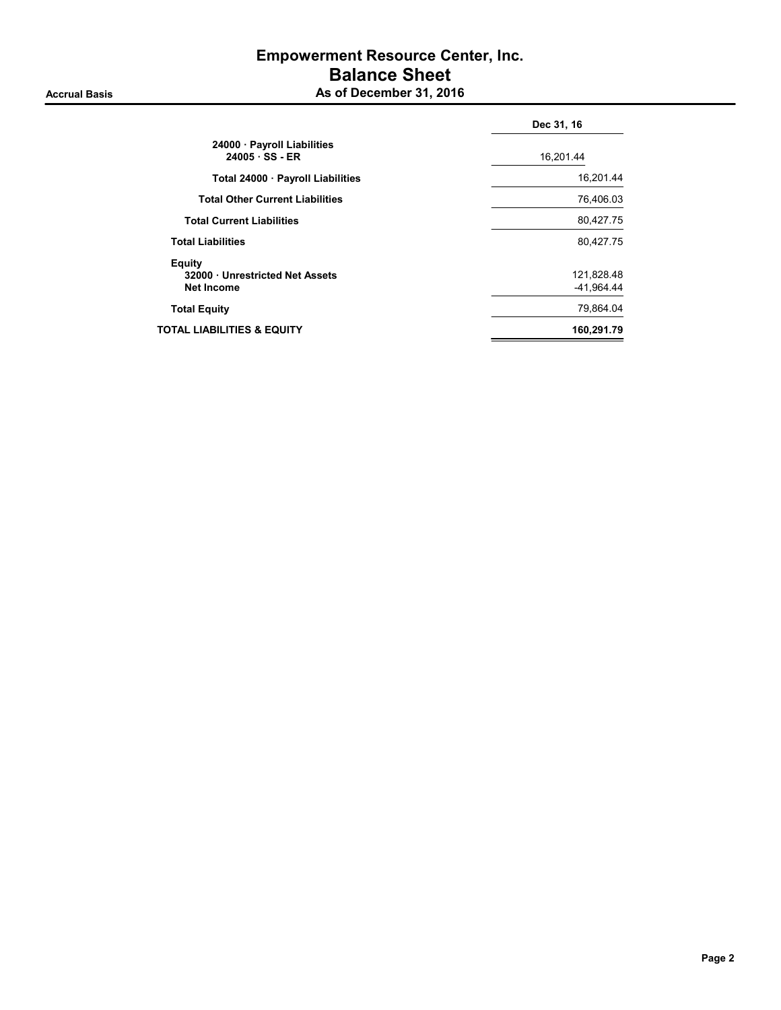# Empowerment Resource Center, Inc. Balance Sheet Accrual Basis **As of December 31, 2016**

|                                                              | Dec 31, 16               |
|--------------------------------------------------------------|--------------------------|
| 24000 · Payroll Liabilities<br>$24005 \cdot SS - ER$         | 16,201.44                |
| Total 24000 · Payroll Liabilities                            | 16,201.44                |
| <b>Total Other Current Liabilities</b>                       | 76,406.03                |
| <b>Total Current Liabilities</b>                             | 80,427.75                |
| <b>Total Liabilities</b>                                     | 80,427.75                |
| Equity<br>32000 Unrestricted Net Assets<br><b>Net Income</b> | 121,828.48<br>-41.964.44 |
| <b>Total Equity</b>                                          | 79,864.04                |
| TOTAL LIABILITIES & EQUITY                                   | 160,291.79               |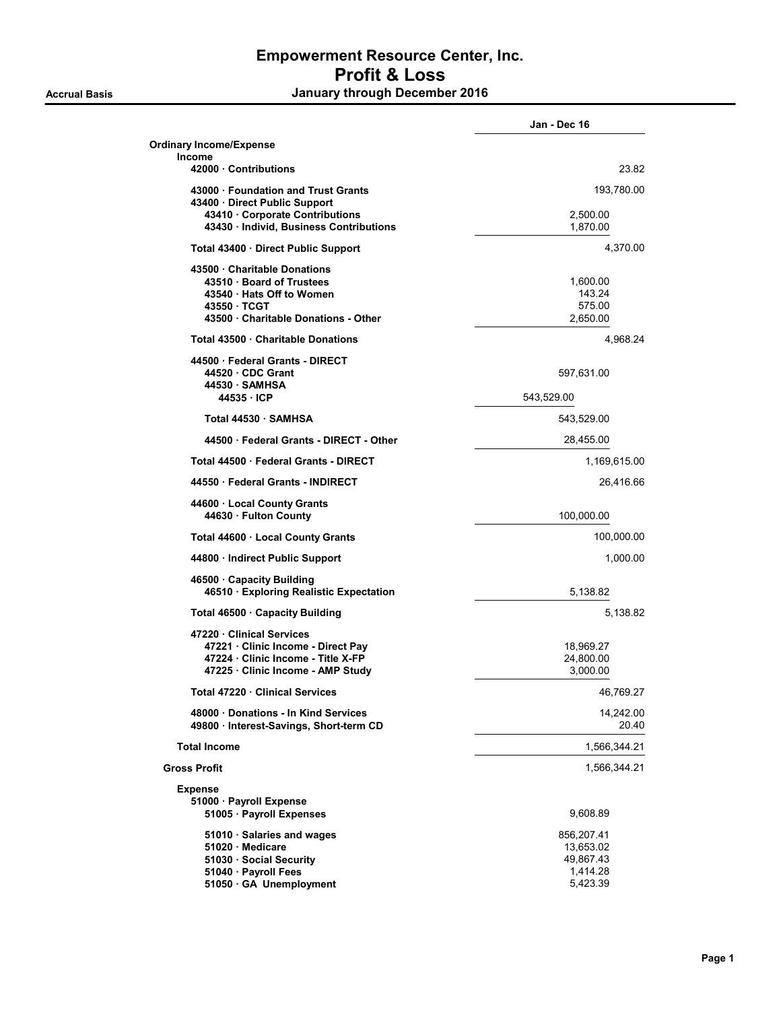|                                                                                                                                                | Jan - Dec 16                                                 |
|------------------------------------------------------------------------------------------------------------------------------------------------|--------------------------------------------------------------|
| <b>Ordinary Income/Expense</b><br><b>Income</b>                                                                                                |                                                              |
| 42000 Contributions                                                                                                                            | 23.82                                                        |
| 43000 Foundation and Trust Grants<br>43400 · Direct Public Support<br>43410 Corporate Contributions<br>43430 · Individ, Business Contributions | 193,780.00<br>2,500.00<br>1,870.00                           |
| Total 43400 Direct Public Support                                                                                                              | 4,370.00                                                     |
| 43500 Charitable Donations<br>43510 · Board of Trustees<br>43540 Hats Off to Women<br>43550 TCGT<br>43500 Charitable Donations - Other         | 1,600.00<br>143.24<br>575.00<br>2,650.00                     |
| Total 43500 Charitable Donations                                                                                                               | 4,968.24                                                     |
| 44500 Federal Grants - DIRECT<br>44520 CDC Grant<br>44530 SAMHSA<br>44535 ICP                                                                  | 597,631.00<br>543,529.00                                     |
| Total 44530 · SAMHSA                                                                                                                           | 543,529.00                                                   |
| 44500 Federal Grants - DIRECT - Other                                                                                                          | 28,455.00                                                    |
| Total 44500 Federal Grants - DIRECT                                                                                                            | 1,169,615.00                                                 |
| 44550 Federal Grants - INDIRECT                                                                                                                | 26,416.66                                                    |
| 44600 Local County Grants<br>44630 Fulton County                                                                                               | 100,000.00                                                   |
| Total 44600 · Local County Grants                                                                                                              | 100,000.00                                                   |
| 44800 · Indirect Public Support                                                                                                                | 1,000.00                                                     |
| 46500 Capacity Building<br>46510 · Exploring Realistic Expectation                                                                             | 5,138.82                                                     |
| Total 46500 Capacity Building                                                                                                                  | 5,138.82                                                     |
| 47220 Clinical Services<br>47221 · Clinic Income - Direct Pay<br>47224 · Clinic Income - Title X-FP<br>47225 · Clinic Income - AMP Study       | 18,969.27<br>24,800.00<br>3,000.00                           |
| Total 47220 · Clinical Services                                                                                                                | 46,769.27                                                    |
| 48000 Donations - In Kind Services<br>49800 · Interest-Savings, Short-term CD                                                                  | 14,242.00<br>20.40                                           |
| <b>Total Income</b>                                                                                                                            | 1,566,344.21                                                 |
| <b>Gross Profit</b>                                                                                                                            | 1,566,344.21                                                 |
| <b>Expense</b><br>51000 · Payroll Expense<br>51005 · Payroll Expenses                                                                          | 9,608.89                                                     |
| 51010 · Salaries and wages<br>51020 · Medicare<br>51030 · Social Security<br>51040 · Payroll Fees<br>51050 GA Unemployment                     | 856,207.41<br>13,653.02<br>49,867.43<br>1,414.28<br>5,423.39 |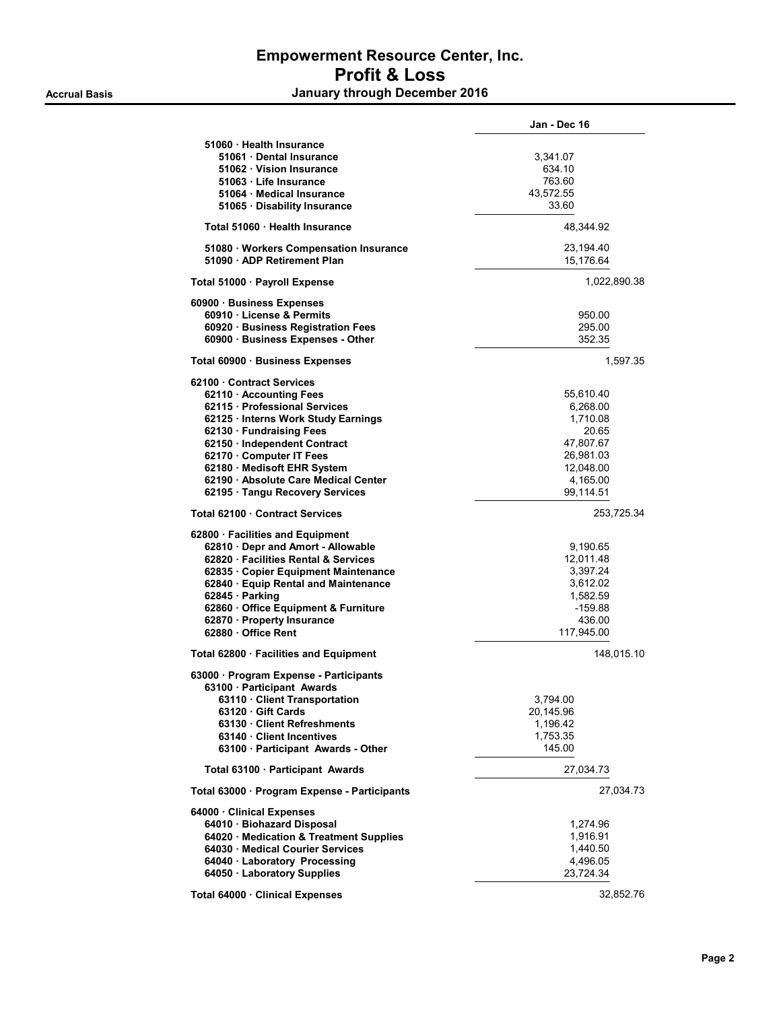|                                                                       | Jan - Dec 16           |
|-----------------------------------------------------------------------|------------------------|
| 51060 · Health Insurance                                              |                        |
| 51061 Dental Insurance                                                | 3,341.07               |
| 51062 Vision Insurance                                                | 634.10                 |
| 51063 · Life Insurance                                                | 763.60                 |
| 51064 · Medical Insurance                                             | 43,572.55              |
| 51065 Disability Insurance                                            | 33.60                  |
| Total 51060 · Health Insurance                                        | 48,344.92              |
|                                                                       |                        |
| 51080 · Workers Compensation Insurance<br>51090 · ADP Retirement Plan | 23,194.40<br>15,176.64 |
| Total 51000 · Payroll Expense                                         | 1,022,890.38           |
| 60900 · Business Expenses                                             |                        |
| 60910 License & Permits                                               | 950.00                 |
| 60920 · Business Registration Fees                                    | 295.00                 |
| 60900 · Business Expenses - Other                                     | 352.35                 |
| Total 60900 · Business Expenses                                       | 1,597.35               |
| 62100 Contract Services                                               |                        |
| 62110 Accounting Fees                                                 | 55,610.40              |
| 62115 · Professional Services                                         | 6,268.00               |
| 62125 · Interns Work Study Earnings                                   | 1,710.08               |
| 62130 · Fundraising Fees                                              | 20.65                  |
|                                                                       |                        |
| 62150 · Independent Contract                                          | 47,807.67              |
| 62170 Computer IT Fees                                                | 26,981.03              |
| 62180 · Medisoft EHR System                                           | 12,048.00              |
| 62190 Absolute Care Medical Center                                    | 4,165.00               |
| 62195 · Tangu Recovery Services                                       | 99,114.51              |
| Total 62100 Contract Services                                         | 253,725.34             |
| 62800 · Facilities and Equipment                                      |                        |
| 62810 Depr and Amort - Allowable                                      | 9,190.65               |
| 62820 Facilities Rental & Services                                    | 12,011.48              |
| 62835 Copier Equipment Maintenance                                    | 3,397.24               |
| 62840 · Equip Rental and Maintenance                                  | 3,612.02               |
| 62845 · Parking                                                       | 1,582.59               |
|                                                                       |                        |
| 62860 Office Equipment & Furniture                                    | $-159.88$              |
| 62870 · Property Insurance                                            | 436.00                 |
| 62880 · Office Rent                                                   | 117,945.00             |
| Total 62800 · Facilities and Equipment                                | 148,015.10             |
| 63000 Program Expense - Participants                                  |                        |
| 63100 · Participant Awards                                            |                        |
| 63110 · Client Transportation                                         | 3,794.00               |
| 63120 Gift Cards                                                      | 20,145.96              |
| 63130 Client Refreshments                                             | 1,196.42               |
| 63140 Client Incentives                                               | 1,753.35               |
| 63100 Participant Awards - Other                                      | 145.00                 |
| Total 63100 · Participant Awards                                      | 27,034.73              |
| Total 63000 · Program Expense - Participants                          | 27,034.73              |
|                                                                       |                        |
| 64000 · Clinical Expenses                                             |                        |
| 64010 · Biohazard Disposal                                            | 1,274.96               |
| 64020 · Medication & Treatment Supplies                               | 1,916.91               |
| 64030 · Medical Courier Services                                      | 1,440.50               |
| 64040 · Laboratory Processing                                         | 4,496.05               |
| 64050 · Laboratory Supplies                                           | 23,724.34              |
| Total 64000 · Clinical Expenses                                       | 32,852.76              |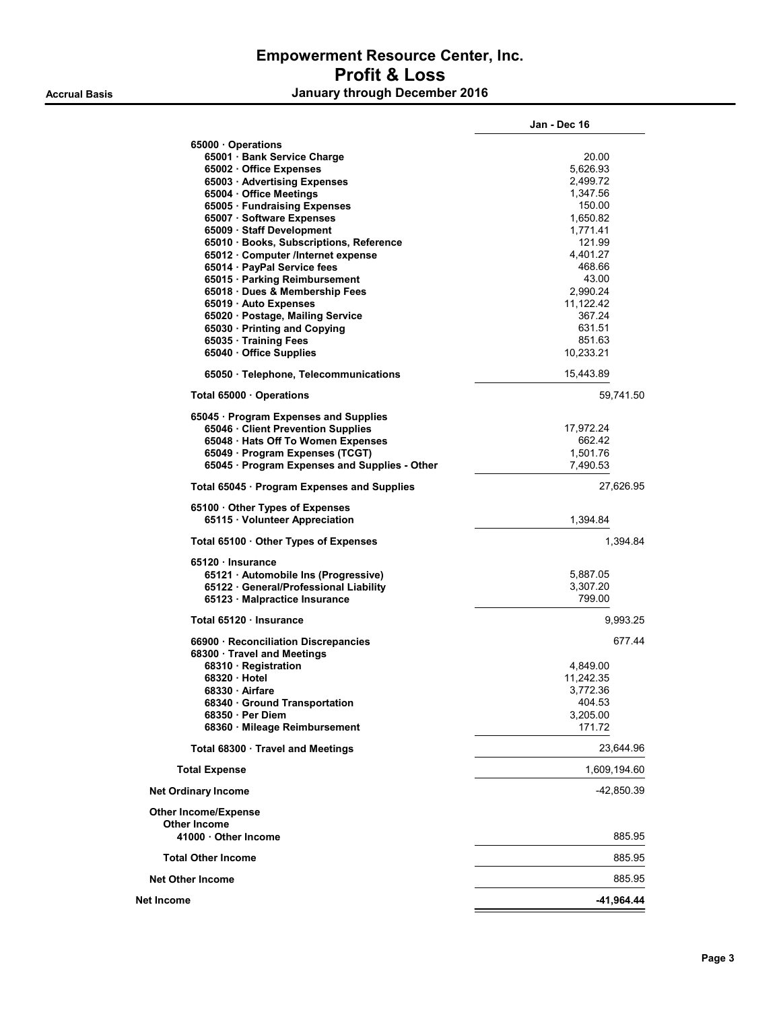|                                                                   | Jan - Dec 16 |
|-------------------------------------------------------------------|--------------|
| 65000 Operations                                                  |              |
| 65001 Bank Service Charge                                         | 20.00        |
| 65002 Office Expenses                                             | 5,626.93     |
| 65003 · Advertising Expenses                                      | 2,499.72     |
| 65004 Office Meetings                                             | 1,347.56     |
| 65005 · Fundraising Expenses                                      | 150.00       |
| 65007 · Software Expenses                                         | 1,650.82     |
| 65009 · Staff Development                                         | 1,771.41     |
| 65010 · Books, Subscriptions, Reference                           | 121.99       |
| 65012 Computer /Internet expense                                  | 4,401.27     |
| 65014 · PayPal Service fees                                       | 468.66       |
| 65015 · Parking Reimbursement                                     | 43.00        |
| 65018 Dues & Membership Fees                                      | 2,990.24     |
| 65019 Auto Expenses                                               | 11,122.42    |
| 65020 · Postage, Mailing Service                                  | 367.24       |
|                                                                   | 631.51       |
| 65030 · Printing and Copying                                      |              |
| 65035 · Training Fees                                             | 851.63       |
| 65040 · Office Supplies                                           | 10,233.21    |
| 65050 · Telephone, Telecommunications                             | 15,443.89    |
| Total 65000 Operations                                            | 59,741.50    |
| 65045 · Program Expenses and Supplies                             |              |
| 65046 Client Prevention Supplies                                  | 17,972.24    |
| 65048 · Hats Off To Women Expenses                                | 662.42       |
| 65049 · Program Expenses (TCGT)                                   | 1,501.76     |
| 65045 · Program Expenses and Supplies - Other                     | 7,490.53     |
|                                                                   |              |
| Total 65045 · Program Expenses and Supplies                       | 27,626.95    |
| 65100 Other Types of Expenses<br>65115 Volunteer Appreciation     | 1,394.84     |
| Total 65100 Other Types of Expenses                               | 1,394.84     |
| 65120 Insurance                                                   |              |
| 65121 · Automobile Ins (Progressive)                              | 5,887.05     |
| 65122 · General/Professional Liability                            | 3,307.20     |
| 65123 · Malpractice Insurance                                     | 799.00       |
|                                                                   |              |
| Total 65120 Insurance                                             | 9,993.25     |
| 66900 · Reconciliation Discrepancies<br>68300 Travel and Meetings | 677.44       |
| 68310 · Registration                                              | 4,849.00     |
| 68320 Hotel                                                       | 11.242.35    |
| 68330 · Airfare                                                   | 3,772.36     |
| 68340 Ground Transportation                                       | 404.53       |
| 68350 Per Diem                                                    | 3,205.00     |
| 68360 Mileage Reimbursement                                       | 171.72       |
| Total 68300 Travel and Meetings                                   | 23,644.96    |
| <b>Total Expense</b>                                              | 1,609,194.60 |
| <b>Net Ordinary Income</b>                                        | -42,850.39   |
|                                                                   |              |
| <b>Other Income/Expense</b>                                       |              |
| <b>Other Income</b>                                               |              |
| 41000 Other Income                                                | 885.95       |
| <b>Total Other Income</b>                                         | 885.95       |
| <b>Net Other Income</b>                                           | 885.95       |
| Net Income                                                        | -41,964.44   |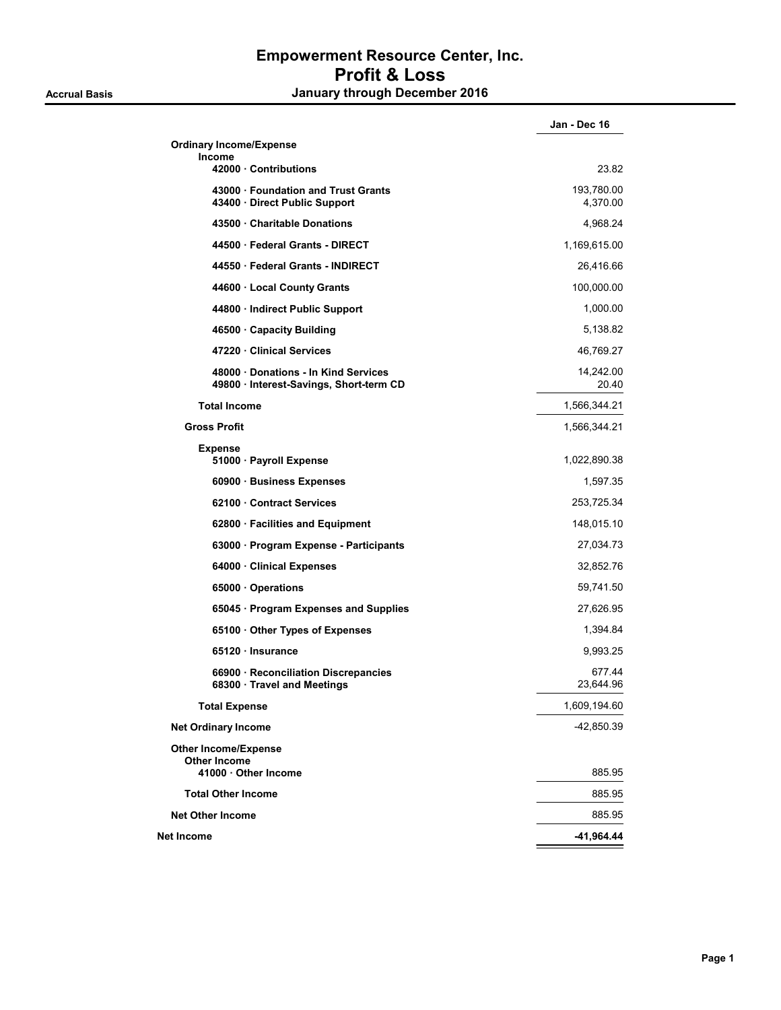|                                                                               | Jan - Dec 16           |
|-------------------------------------------------------------------------------|------------------------|
| <b>Ordinary Income/Expense</b>                                                |                        |
| Income<br>42000 Contributions                                                 | 23.82                  |
| 43000 · Foundation and Trust Grants<br>43400 · Direct Public Support          | 193,780.00<br>4,370.00 |
| 43500 Charitable Donations                                                    | 4,968.24               |
| 44500 Federal Grants - DIRECT                                                 | 1,169,615.00           |
| 44550 Federal Grants - INDIRECT                                               | 26,416.66              |
| 44600 · Local County Grants                                                   | 100,000.00             |
| 44800 · Indirect Public Support                                               | 1,000.00               |
| 46500 Capacity Building                                                       | 5,138.82               |
| 47220 Clinical Services                                                       | 46,769.27              |
| 48000 Donations - In Kind Services<br>49800 · Interest-Savings, Short-term CD | 14,242.00<br>20.40     |
| <b>Total Income</b>                                                           | 1,566,344.21           |
| <b>Gross Profit</b>                                                           | 1,566,344.21           |
| <b>Expense</b><br>51000 · Payroll Expense                                     | 1,022,890.38           |
| 60900 · Business Expenses                                                     | 1,597.35               |
| 62100 Contract Services                                                       | 253,725.34             |
| 62800 · Facilities and Equipment                                              | 148,015.10             |
| 63000 · Program Expense - Participants                                        | 27,034.73              |
| 64000 · Clinical Expenses                                                     | 32,852.76              |
| 65000 Operations                                                              | 59,741.50              |
| 65045 · Program Expenses and Supplies                                         | 27,626.95              |
| 65100 Other Types of Expenses                                                 | 1,394.84               |
| 65120 Insurance                                                               | 9,993.25               |
| 66900 · Reconciliation Discrepancies<br>68300 Travel and Meetings             | 677.44<br>23,644.96    |
| <b>Total Expense</b>                                                          | 1,609,194.60           |
| <b>Net Ordinary Income</b>                                                    | -42,850.39             |
| <b>Other Income/Expense</b><br><b>Other Income</b>                            |                        |
| 41000 Other Income                                                            | 885.95                 |
| <b>Total Other Income</b>                                                     | 885.95                 |
| <b>Net Other Income</b>                                                       | 885.95                 |
| Net Income                                                                    | -41,964.44             |